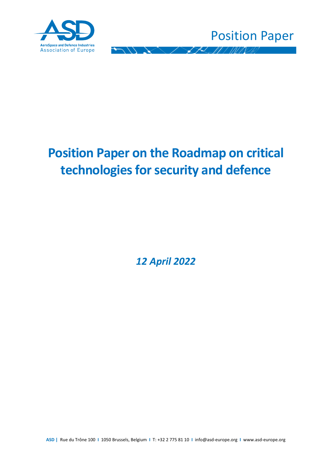



# **Position Paper on the Roadmap on critical technologies for security and defence**

*12 April 2022*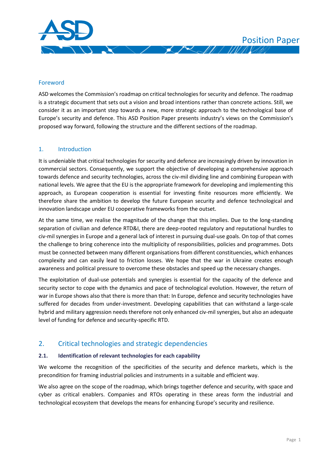

#### Foreword

ASD welcomes the Commission's roadmap on critical technologies for security and defence. The roadmap is a strategic document that sets out a vision and broad intentions rather than concrete actions. Still, we consider it as an important step towards a new, more strategic approach to the technological base of Europe's security and defence. This ASD Position Paper presents industry's views on the Commission's proposed way forward, following the structure and the different sections of the roadmap.

#### 1. Introduction

It is undeniable that critical technologies for security and defence are increasingly driven by innovation in commercial sectors. Consequently, we support the objective of developing a comprehensive approach towards defence and security technologies, across the civ-mil dividing line and combining European with national levels. We agree that the EU is the appropriate framework for developing and implementing this approach, as European cooperation is essential for investing finite resources more efficiently. We therefore share the ambition to develop the future European security and defence technological and innovation landscape under EU cooperative frameworks from the outset.

At the same time, we realise the magnitude of the change that this implies. Due to the long-standing separation of civilian and defence RTD&I, there are deep-rooted regulatory and reputational hurdles to civ-mil synergies in Europe and a general lack of interest in pursuing dual-use goals. On top of that comes the challenge to bring coherence into the multiplicity of responsibilities, policies and programmes. Dots must be connected between many different organisations from different constituencies, which enhances complexity and can easily lead to friction losses. We hope that the war in Ukraine creates enough awareness and political pressure to overcome these obstacles and speed up the necessary changes.

The exploitation of dual-use potentials and synergies is essential for the capacity of the defence and security sector to cope with the dynamics and pace of technological evolution. However, the return of war in Europe shows also that there is more than that: In Europe, defence and security technologies have suffered for decades from under-investment. Developing capabilities that can withstand a large-scale hybrid and military aggression needs therefore not only enhanced civ-mil synergies, but also an adequate level of funding for defence and security-specific RTD.

## 2. Critical technologies and strategic dependencies

#### **2.1. Identification of relevant technologies for each capability**

We welcome the recognition of the specificities of the security and defence markets, which is the precondition for framing industrial policies and instruments in a suitable and efficient way.

We also agree on the scope of the roadmap, which brings together defence and security, with space and cyber as critical enablers. Companies and RTOs operating in these areas form the industrial and technological ecosystem that develops the means for enhancing Europe's security and resilience.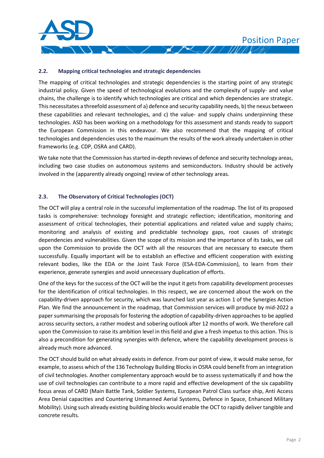#### **2.2. Mapping critical technologies and strategic dependencies**

The mapping of critical technologies and strategic dependencies is the starting point of any strategic industrial policy. Given the speed of technological evolutions and the complexity of supply- and value chains, the challenge is to identify which technologies are critical and which dependencies are strategic. This necessitates a threefold assessment of a) defence and security capability needs, b) the nexus between these capabilities and relevant technologies, and c) the value- and supply chains underpinning these technologies. ASD has been working on a methodology for this assessment and stands ready to support the European Commission in this endeavour. We also recommend that the mapping of critical technologies and dependencies uses to the maximum the results of the work already undertaken in other frameworks (e.g. CDP, OSRA and CARD).

We take note that the Commission has started in-depth reviews of defence and security technology areas, including two case studies on autonomous systems and semiconductors. Industry should be actively involved in the (apparently already ongoing) review of other technology areas.

#### **2.3. The Observatory of Critical Technologies (OCT)**

The OCT will play a central role in the successful implementation of the roadmap. The list of its proposed tasks is comprehensive: technology foresight and strategic reflection; identification, monitoring and assessment of critical technologies, their potential applications and related value and supply chains; monitoring and analysis of existing and predictable technology gaps, root causes of strategic dependencies and vulnerabilities. Given the scope of its mission and the importance of its tasks, we call upon the Commission to provide the OCT with all the resources that are necessary to execute them successfully. Equally important will be to establish an effective and efficient cooperation with existing relevant bodies, like the EDA or the Joint Task Force (ESA-EDA-Commission), to learn from their experience, generate synergies and avoid unnecessary duplication of efforts.

One of the keys for the success of the OCT will be the input it gets from capability development processes for the identification of critical technologies. In this respect, we are concerned about the work on the capability-driven approach for security, which was launched last year as action 1 of the Synergies Action Plan. We find the announcement in the roadmap, that Commission services will produce by mid-2022 a paper summarising the proposals for fostering the adoption of capability-driven approaches to be applied across security sectors, a rather modest and sobering outlook after 12 months of work. We therefore call upon the Commission to raise its ambition level in this field and give a fresh impetus to this action. This is also a precondition for generating synergies with defence, where the capability development process is already much more advanced.

The OCT should build on what already exists in defence. From our point of view, it would make sense, for example, to assess which of the 136 Technology Building Blocks in OSRA could benefit from an integration of civil technologies. Another complementary approach would be to assess systematically if and how the use of civil technologies can contribute to a more rapid and effective development of the six capability focus areas of CARD (Main Battle Tank, Soldier Systems, European Patrol Class surface ship, Anti Access Area Denial capacities and Countering Unmanned Aerial Systems, Defence in Space, Enhanced Military Mobility). Using such already existing building blocks would enable the OCT to rapidly deliver tangible and concrete results.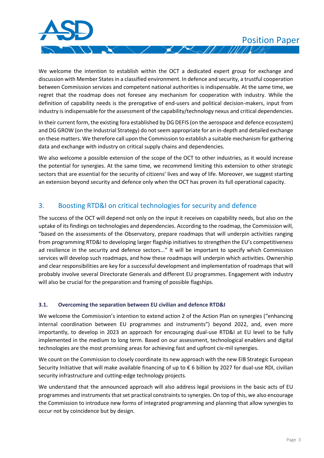We welcome the intention to establish within the OCT a dedicated expert group for exchange and discussion with Member States in a classified environment. In defence and security, a trustful cooperation between Commission services and competent national authorities is indispensable. At the same time, we regret that the roadmap does not foresee any mechanism for cooperation with industry. While the definition of capability needs is the prerogative of end-users and political decision-makers, input from industry is indispensable for the assessment of the capability/technology nexus and critical dependencies.

 $\mathcal{L}$  /  $\mathcal{L}$  /  $\mathcal{L}$ 

 $\infty$ 

In their current form, the existing fora established by DG DEFIS (on the aerospace and defence ecosystem) and DG GROW (on the Industrial Strategy) do not seem appropriate for an in-depth and detailed exchange on these matters. We therefore call upon the Commission to establish a suitable mechanism for gathering data and exchange with industry on critical supply chains and dependencies.

We also welcome a possible extension of the scope of the OCT to other industries, as it would increase the potential for synergies. At the same time, we recommend limiting this extension to other strategic sectors that are essential for the security of citizens' lives and way of life. Moreover, we suggest starting an extension beyond security and defence only when the OCT has proven its full operational capacity.

## 3. Boosting RTD&I on critical technologies for security and defence

The success of the OCT will depend not only on the input it receives on capability needs, but also on the uptake of its findings on technologies and dependencies. According to the roadmap, the Commission will, "based on the assessments of the Observatory, prepare roadmaps that will underpin activities ranging from programming RTD&I to developing larger flagship initiatives to strengthen the EU's competitiveness ad resilience in the security and defence sectors..." It will be important to specify which Commission services will develop such roadmaps, and how these roadmaps will underpin which activities. Ownership and clear responsibilities are key for a successful development and implementation of roadmaps that will probably involve several Directorate Generals and different EU programmes. Engagement with industry will also be crucial for the preparation and framing of possible flagships.

#### **3.1. Overcoming the separation between EU civilian and defence RTD&I**

We welcome the Commission's intention to extend action 2 of the Action Plan on synergies ("enhancing internal coordination between EU programmes and instruments") beyond 2022, and, even more importantly, to develop in 2023 an approach for encouraging dual-use RTD&I at EU level to be fully implemented in the medium to long term. Based on our assessment, technological enablers and digital technologies are the most promising areas for achieving fast and upfront civ-mil synergies.

We count on the Commission to closely coordinate its new approach with the new EIB Strategic European Security Initiative that will make available financing of up to € 6 billion by 2027 for dual-use RDI, civilian security infrastructure and cutting-edge technology projects.

We understand that the announced approach will also address legal provisions in the basic acts of EU programmes and instruments that set practical constraints to synergies. On top of this, we also encourage the Commission to introduce new forms of integrated programming and planning that allow synergies to occur not by coincidence but by design.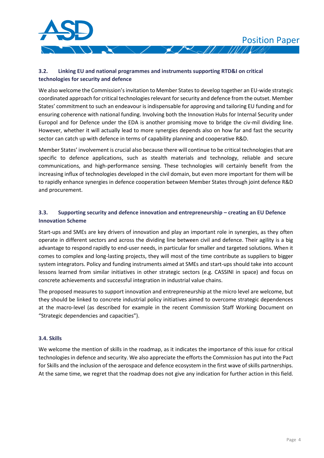

## **3.2. Linking EU and national programmes and instruments supporting RTD&I on critical technologies for security and defence**

We also welcome the Commission's invitation to Member States to develop together an EU-wide strategic coordinated approach for critical technologies relevant for security and defence from the outset. Member States' commitment to such an endeavour is indispensable for approving and tailoring EU funding and for ensuring coherence with national funding. Involving both the Innovation Hubs for Internal Security under Europol and for Defence under the EDA is another promising move to bridge the civ-mil dividing line. However, whether it will actually lead to more synergies depends also on how far and fast the security sector can catch up with defence in terms of capability planning and cooperative R&D.

Member States' involvement is crucial also because there will continue to be critical technologies that are specific to defence applications, such as stealth materials and technology, reliable and secure communications, and high-performance sensing. These technologies will certainly benefit from the increasing influx of technologies developed in the civil domain, but even more important for them will be to rapidly enhance synergies in defence cooperation between Member States through joint defence R&D and procurement.

### **3.3.** Supporting security and defence innovation and entrepreneurship – creating an EU Defence **Innovation Scheme**

Start-ups and SMEs are key drivers of innovation and play an important role in synergies, as they often operate in different sectors and across the dividing line between civil and defence. Their agility is a big advantage to respond rapidly to end-user needs, in particular for smaller and targeted solutions. When it comes to complex and long-lasting projects, they will most of the time contribute as suppliers to bigger system integrators. Policy and funding instruments aimed at SMEs and start-ups should take into account lessons learned from similar initiatives in other strategic sectors (e.g. CASSINI in space) and focus on concrete achievements and successful integration in industrial value chains.

The proposed measures to support innovation and entrepreneurship at the micro level are welcome, but they should be linked to concrete industrial policy initiatives aimed to overcome strategic dependences at the macro-level (as described for example in the recent Commission Staff Working Document on "Strategic dependencies and capacities").

#### **3.4. Skills**

We welcome the mention of skills in the roadmap, as it indicates the importance of this issue for critical technologies in defence and security. We also appreciate the efforts the Commission has put into the Pact for Skills and the inclusion of the aerospace and defence ecosystem in the first wave of skills partnerships. At the same time, we regret that the roadmap does not give any indication for further action in this field.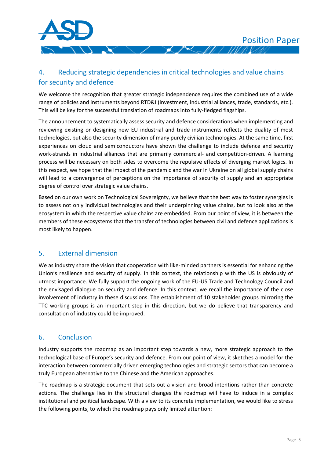

# 4. Reducing strategic dependencies in critical technologies and value chains for security and defence

We welcome the recognition that greater strategic independence requires the combined use of a wide range of policies and instruments beyond RTD&I (investment, industrial alliances, trade, standards, etc.). This will be key for the successful translation of roadmaps into fully-fledged flagships.

The announcement to systematically assess security and defence considerations when implementing and reviewing existing or designing new EU industrial and trade instruments reflects the duality of most technologies, but also the security dimension of many purely civilian technologies. At the same time, first experiences on cloud and semiconductors have shown the challenge to include defence and security work-strands in industrial alliances that are primarily commercial- and competition-driven. A learning process will be necessary on both sides to overcome the repulsive effects of diverging market logics. In this respect, we hope that the impact of the pandemic and the war in Ukraine on all global supply chains will lead to a convergence of perceptions on the importance of security of supply and an appropriate degree of control over strategic value chains.

Based on our own work on Technological Sovereignty, we believe that the best way to foster synergies is to assess not only individual technologies and their underpinning value chains, but to look also at the ecosystem in which the respective value chains are embedded. From our point of view, it is between the members of these ecosystems that the transfer of technologies between civil and defence applications is most likely to happen.

# 5. External dimension

We as industry share the vision that cooperation with like-minded partners is essential for enhancing the Union's resilience and security of supply. In this context, the relationship with the US is obviously of utmost importance. We fully support the ongoing work of the EU-US Trade and Technology Council and the envisaged dialogue on security and defence. In this context, we recall the importance of the close involvement of industry in these discussions. The establishment of 10 stakeholder groups mirroring the TTC working groups is an important step in this direction, but we do believe that transparency and consultation of industry could be improved.

# 6. Conclusion

Industry supports the roadmap as an important step towards a new, more strategic approach to the technological base of Europe's security and defence. From our point of view, it sketches a model for the interaction between commercially driven emerging technologies and strategic sectors that can become a truly European alternative to the Chinese and the American approaches.

The roadmap is a strategic document that sets out a vision and broad intentions rather than concrete actions. The challenge lies in the structural changes the roadmap will have to induce in a complex institutional and political landscape. With a view to its concrete implementation, we would like to stress the following points, to which the roadmap pays only limited attention: